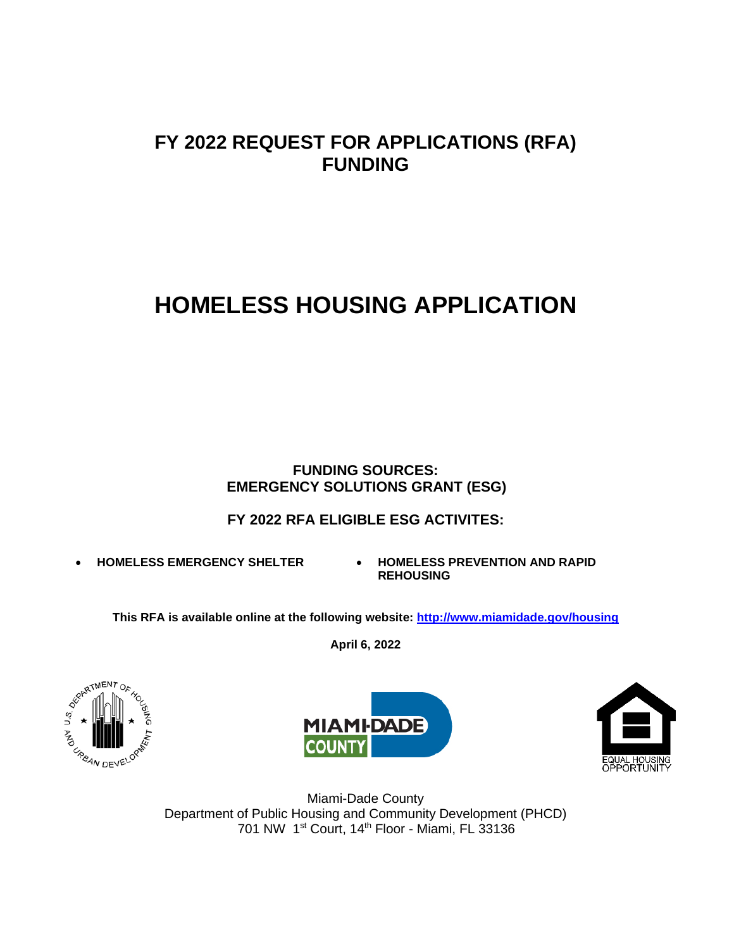## **FY 2022 REQUEST FOR APPLICATIONS (RFA) FUNDING**

# **HOMELESS HOUSING APPLICATION**

### **FUNDING SOURCES: EMERGENCY SOLUTIONS GRANT (ESG)**

### **FY 2022 RFA ELIGIBLE ESG ACTIVITES:**

- 
- **HOMELESS EMERGENCY SHELTER HOMELESS PREVENTION AND RAPID REHOUSING**

**This RFA is available online at the following website:<http://www.miamidade.gov/housing>**

**April 6, 2022**







Miami-Dade County Department of Public Housing and Community Development (PHCD) 701 NW 1st Court, 14th Floor - Miami, FL 33136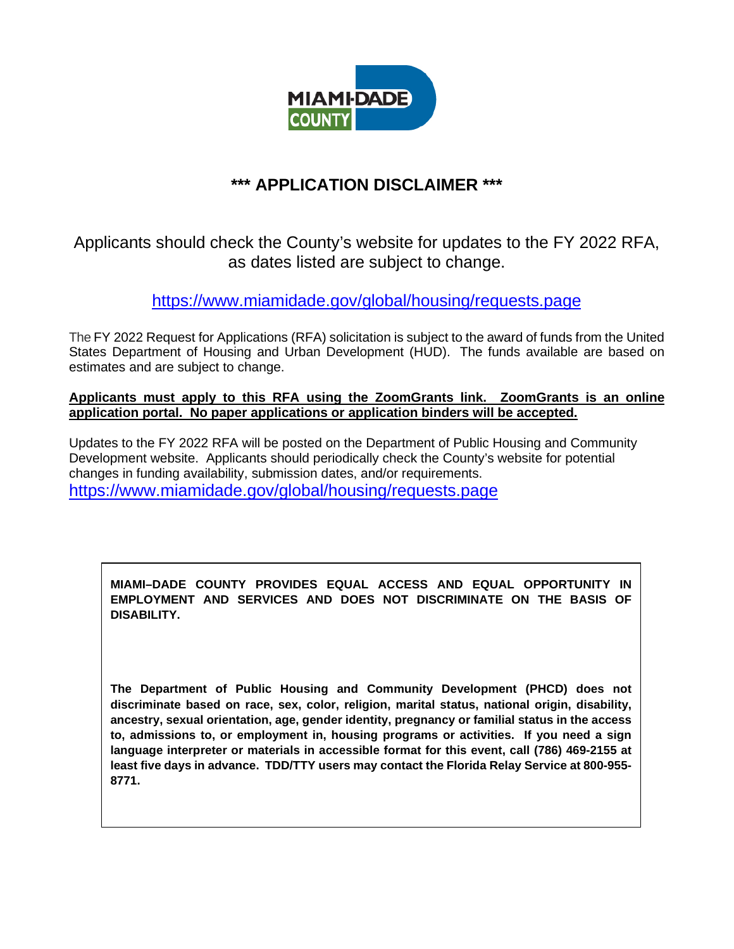

### **\*\*\* APPLICATION DISCLAIMER \*\*\***

Applicants should check the County's website for updates to the FY 2022 RFA, as dates listed are subject to change.

<https://www.miamidade.gov/global/housing/requests.page>

The FY 2022 Request for Applications (RFA) solicitation is subject to the award of funds from the United States Department of Housing and Urban Development (HUD). The funds available are based on estimates and are subject to change.

#### **Applicants must apply to this RFA using the ZoomGrants link. ZoomGrants is an online application portal. No paper applications or application binders will be accepted.**

Updates to the FY 2022 RFA will be posted on the Department of Public Housing and Community Development website. Applicants should periodically check the County's website for potential changes in funding availability, submission dates, and/or requirements. <https://www.miamidade.gov/global/housing/requests.page>

**MIAMI–DADE COUNTY PROVIDES EQUAL ACCESS AND EQUAL OPPORTUNITY IN EMPLOYMENT AND SERVICES AND DOES NOT DISCRIMINATE ON THE BASIS OF DISABILITY.**

**The Department of Public Housing and Community Development (PHCD) does not discriminate based on race, sex, color, religion, marital status, national origin, disability, ancestry, sexual orientation, age, gender identity, pregnancy or familial status in the access to, admissions to, or employment in, housing programs or activities. If you need a sign language interpreter or materials in accessible format for this event, call (786) 469-2155 at least five days in advance. TDD/TTY users may contact the Florida Relay Service at 800-955- 8771.**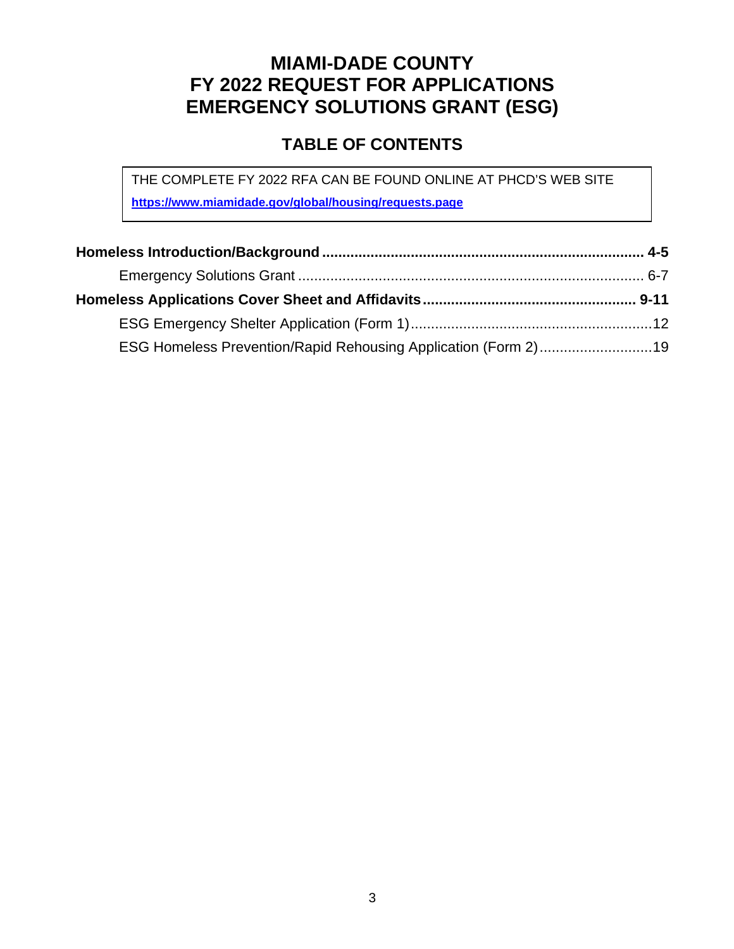## **MIAMI-DADE COUNTY FY 2022 REQUEST FOR APPLICATIONS EMERGENCY SOLUTIONS GRANT (ESG)**

### **TABLE OF CONTENTS**

THE COMPLETE FY 2022 RFA CAN BE FOUND ONLINE AT PHCD'S WEB SITE **https://www.miamidade.gov/global/housing/requests.page**

| ESG Homeless Prevention/Rapid Rehousing Application (Form 2)19 |  |
|----------------------------------------------------------------|--|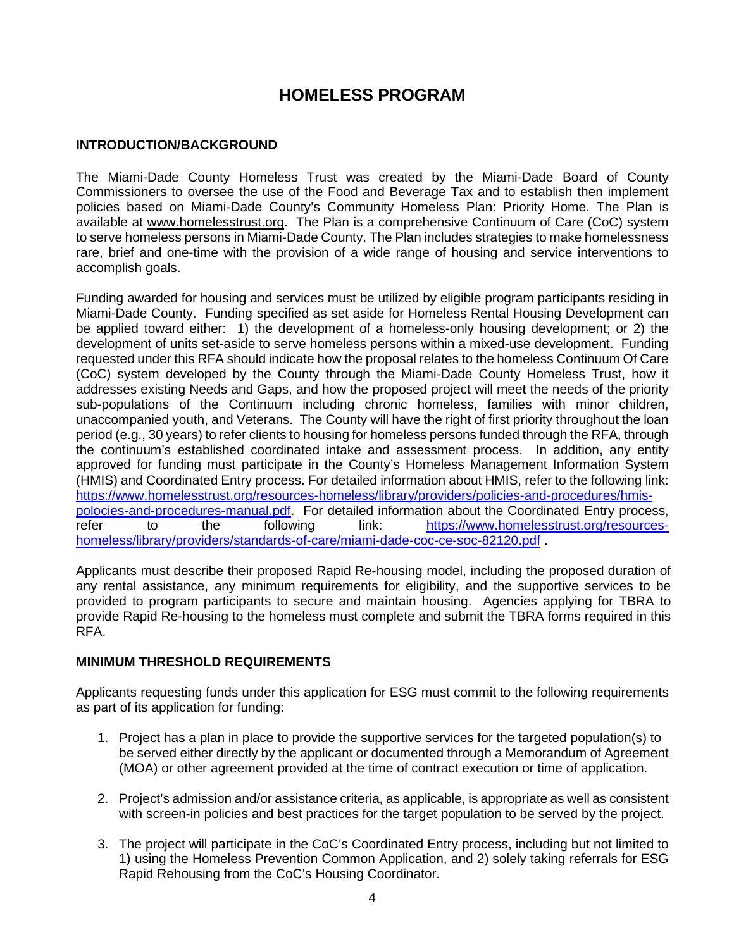### **HOMELESS PROGRAM**

#### **INTRODUCTION/BACKGROUND**

The Miami-Dade County Homeless Trust was created by the Miami-Dade Board of County Commissioners to oversee the use of the Food and Beverage Tax and to establish then implement policies based on Miami-Dade County's Community Homeless Plan: Priority Home. The Plan is available at [www.homelesstrust.org.](http://www.homelesstrust.org/) The Plan is a comprehensive Continuum of Care (CoC) system to serve homeless persons in Miami-Dade County. The Plan includes strategies to make homelessness rare, brief and one-time with the provision of a wide range of housing and service interventions to accomplish goals.

Funding awarded for housing and services must be utilized by eligible program participants residing in Miami-Dade County. Funding specified as set aside for Homeless Rental Housing Development can be applied toward either: 1) the development of a homeless-only housing development; or 2) the development of units set-aside to serve homeless persons within a mixed-use development. Funding requested under this RFA should indicate how the proposal relates to the homeless Continuum Of Care (CoC) system developed by the County through the Miami-Dade County Homeless Trust, how it addresses existing Needs and Gaps, and how the proposed project will meet the needs of the priority sub-populations of the Continuum including chronic homeless, families with minor children, unaccompanied youth, and Veterans. The County will have the right of first priority throughout the loan period (e.g., 30 years) to refer clients to housing for homeless persons funded through the RFA, through the continuum's established coordinated intake and assessment process. In addition, any entity approved for funding must participate in the County's Homeless Management Information System (HMIS) and Coordinated Entry process. For detailed information about HMIS, refer to the following link: [https://www.homelesstrust.org/resources-homeless/library/providers/policies-and-procedures/hmis](https://www.homelesstrust.org/resources-homeless/library/providers/policies-and-procedures/hmis-polocies-and-procedures-manual.pdf)[polocies-and-procedures-manual.pdf.](https://www.homelesstrust.org/resources-homeless/library/providers/policies-and-procedures/hmis-polocies-and-procedures-manual.pdf) For detailed information about the Coordinated Entry process, refer to the following link: [https://www.homelesstrust.org/resources](https://www.homelesstrust.org/resources-homeless/library/providers/standards-of-care/miami-dade-coc-ce-soc-82120.pdf)[homeless/library/providers/standards-of-care/miami-dade-coc-ce-soc-82120.pdf](https://www.homelesstrust.org/resources-homeless/library/providers/standards-of-care/miami-dade-coc-ce-soc-82120.pdf) .

Applicants must describe their proposed Rapid Re-housing model, including the proposed duration of any rental assistance, any minimum requirements for eligibility, and the supportive services to be provided to program participants to secure and maintain housing. Agencies applying for TBRA to provide Rapid Re-housing to the homeless must complete and submit the TBRA forms required in this RFA.

#### **MINIMUM THRESHOLD REQUIREMENTS**

Applicants requesting funds under this application for ESG must commit to the following requirements as part of its application for funding:

- 1. Project has a plan in place to provide the supportive services for the targeted population(s) to be served either directly by the applicant or documented through a Memorandum of Agreement (MOA) or other agreement provided at the time of contract execution or time of application.
- 2. Project's admission and/or assistance criteria, as applicable, is appropriate as well as consistent with screen-in policies and best practices for the target population to be served by the project.
- 3. The project will participate in the CoC's Coordinated Entry process, including but not limited to 1) using the Homeless Prevention Common Application, and 2) solely taking referrals for ESG Rapid Rehousing from the CoC's Housing Coordinator.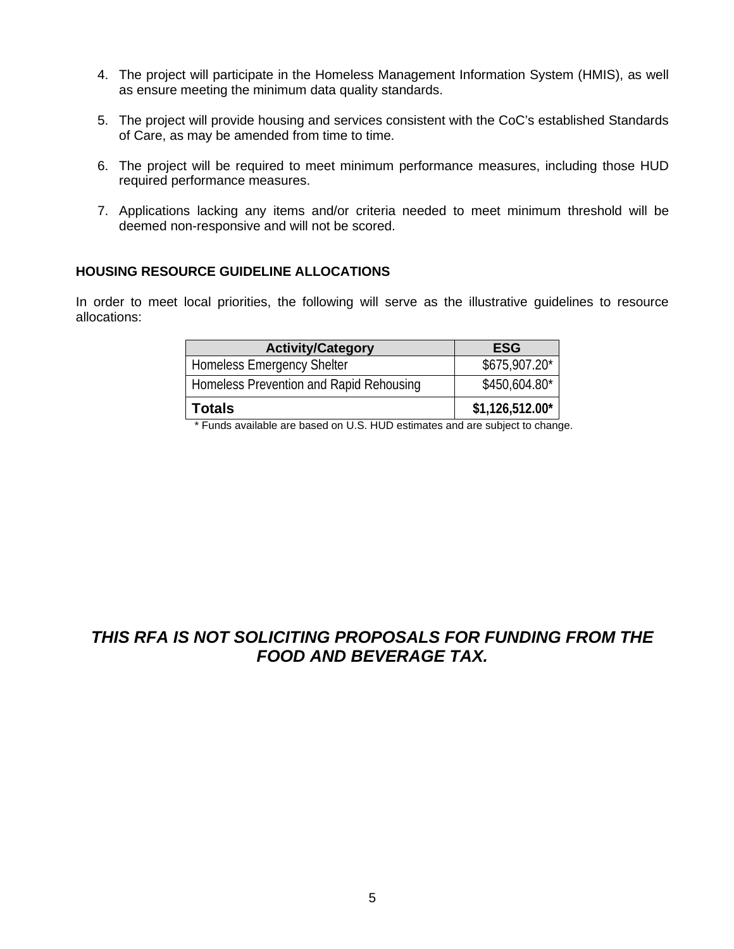- 4. The project will participate in the Homeless Management Information System (HMIS), as well as ensure meeting the minimum data quality standards.
- 5. The project will provide housing and services consistent with the CoC's established Standards of Care, as may be amended from time to time.
- 6. The project will be required to meet minimum performance measures, including those HUD required performance measures.
- 7. Applications lacking any items and/or criteria needed to meet minimum threshold will be deemed non-responsive and will not be scored.

#### **HOUSING RESOURCE GUIDELINE ALLOCATIONS**

In order to meet local priorities, the following will serve as the illustrative guidelines to resource allocations:

| <b>Activity/Category</b>                | <b>ESG</b>       |
|-----------------------------------------|------------------|
| <b>Homeless Emergency Shelter</b>       | \$675,907.20*    |
| Homeless Prevention and Rapid Rehousing | \$450,604.80*    |
| <b>Totals</b>                           | $$1,126,512.00*$ |

\* Funds available are based on U.S. HUD estimates and are subject to change.

### *THIS RFA IS NOT SOLICITING PROPOSALS FOR FUNDING FROM THE FOOD AND BEVERAGE TAX.*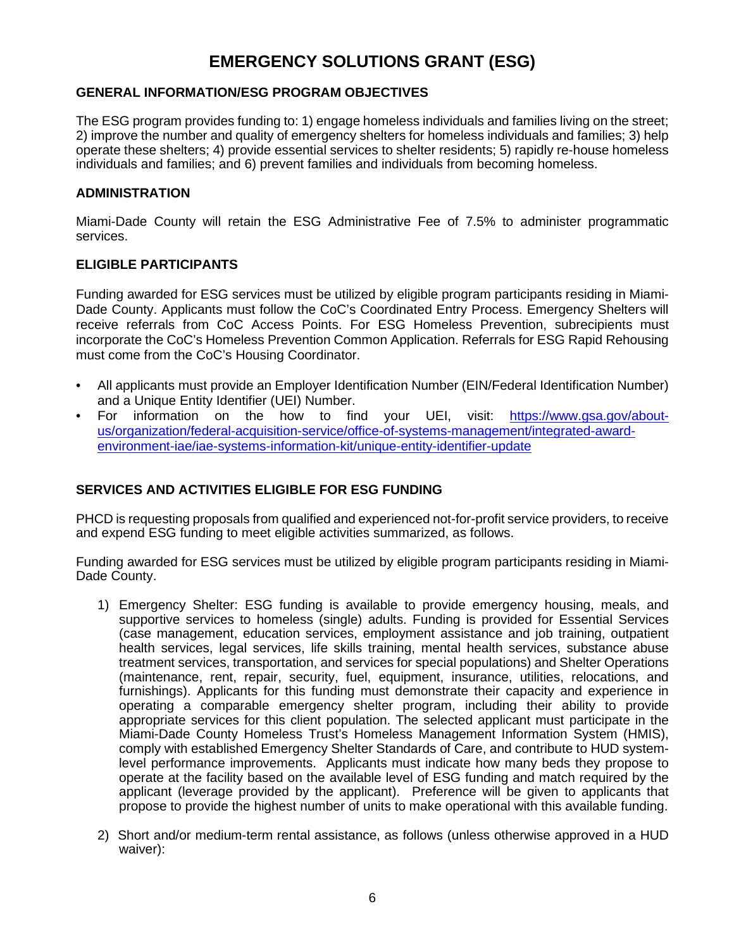### **EMERGENCY SOLUTIONS GRANT (ESG)**

#### **GENERAL INFORMATION/ESG PROGRAM OBJECTIVES**

The ESG program provides funding to: 1) engage homeless individuals and families living on the street; 2) improve the number and quality of emergency shelters for homeless individuals and families; 3) help operate these shelters; 4) provide essential services to shelter residents; 5) rapidly re-house homeless individuals and families; and 6) prevent families and individuals from becoming homeless.

#### **ADMINISTRATION**

Miami-Dade County will retain the ESG Administrative Fee of 7.5% to administer programmatic services.

#### **ELIGIBLE PARTICIPANTS**

Funding awarded for ESG services must be utilized by eligible program participants residing in Miami-Dade County. Applicants must follow the CoC's Coordinated Entry Process. Emergency Shelters will receive referrals from CoC Access Points. For ESG Homeless Prevention, subrecipients must incorporate the CoC's Homeless Prevention Common Application. Referrals for ESG Rapid Rehousing must come from the CoC's Housing Coordinator.

- All applicants must provide an Employer Identification Number (EIN/Federal Identification Number) and a Unique Entity Identifier (UEI) Number.
- For information on the how to find your UEI, visit: [https://www.gsa.gov/about](https://www.gsa.gov/about-us/organization/federal-acquisition-service/office-of-systems-management/integrated-award-environment-iae/iae-systems-information-kit/unique-entity-identifier-update)[us/organization/federal-acquisition-service/office-of-systems-management/integrated-award](https://www.gsa.gov/about-us/organization/federal-acquisition-service/office-of-systems-management/integrated-award-environment-iae/iae-systems-information-kit/unique-entity-identifier-update)[environment-iae/iae-systems-information-kit/unique-entity-identifier-update](https://www.gsa.gov/about-us/organization/federal-acquisition-service/office-of-systems-management/integrated-award-environment-iae/iae-systems-information-kit/unique-entity-identifier-update)

#### **SERVICES AND ACTIVITIES ELIGIBLE FOR ESG FUNDING**

PHCD is requesting proposals from qualified and experienced not-for-profit service providers, to receive and expend ESG funding to meet eligible activities summarized, as follows.

Funding awarded for ESG services must be utilized by eligible program participants residing in Miami-Dade County.

- 1) Emergency Shelter: ESG funding is available to provide emergency housing, meals, and supportive services to homeless (single) adults. Funding is provided for Essential Services (case management, education services, employment assistance and job training, outpatient health services, legal services, life skills training, mental health services, substance abuse treatment services, transportation, and services for special populations) and Shelter Operations (maintenance, rent, repair, security, fuel, equipment, insurance, utilities, relocations, and furnishings). Applicants for this funding must demonstrate their capacity and experience in operating a comparable emergency shelter program, including their ability to provide appropriate services for this client population. The selected applicant must participate in the Miami-Dade County Homeless Trust's Homeless Management Information System (HMIS), comply with established Emergency Shelter Standards of Care, and contribute to HUD systemlevel performance improvements. Applicants must indicate how many beds they propose to operate at the facility based on the available level of ESG funding and match required by the applicant (leverage provided by the applicant). Preference will be given to applicants that propose to provide the highest number of units to make operational with this available funding.
- 2) Short and/or medium-term rental assistance, as follows (unless otherwise approved in a HUD waiver):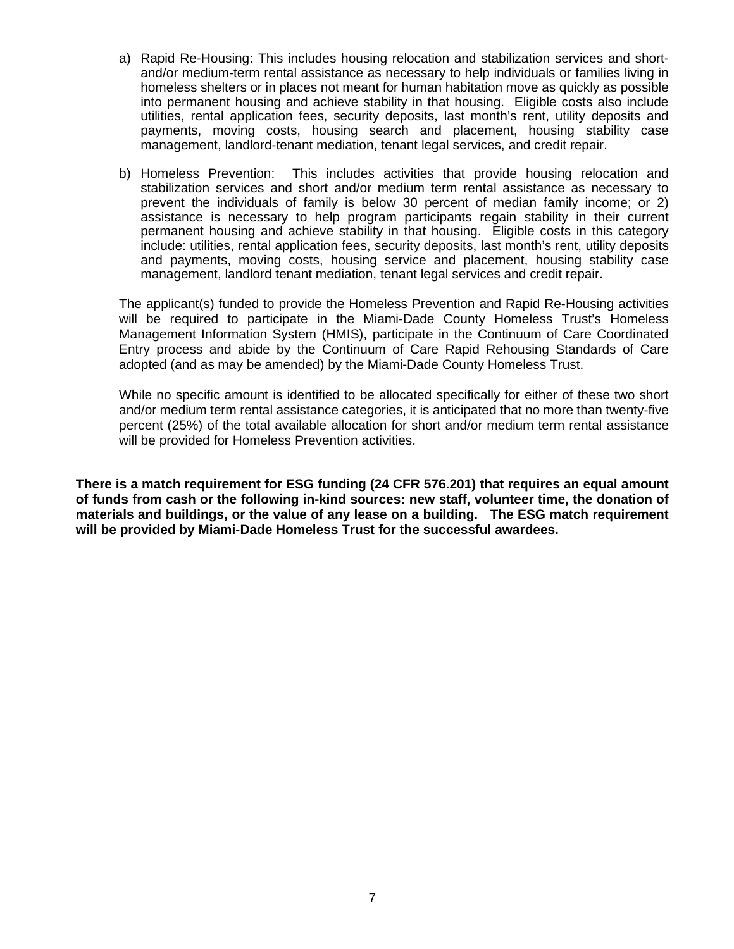- a) Rapid Re-Housing: This includes housing relocation and stabilization services and shortand/or medium-term rental assistance as necessary to help individuals or families living in homeless shelters or in places not meant for human habitation move as quickly as possible into permanent housing and achieve stability in that housing. Eligible costs also include utilities, rental application fees, security deposits, last month's rent, utility deposits and payments, moving costs, housing search and placement, housing stability case management, landlord-tenant mediation, tenant legal services, and credit repair.
- b) Homeless Prevention: This includes activities that provide housing relocation and stabilization services and short and/or medium term rental assistance as necessary to prevent the individuals of family is below 30 percent of median family income; or 2) assistance is necessary to help program participants regain stability in their current permanent housing and achieve stability in that housing. Eligible costs in this category include: utilities, rental application fees, security deposits, last month's rent, utility deposits and payments, moving costs, housing service and placement, housing stability case management, landlord tenant mediation, tenant legal services and credit repair.

The applicant(s) funded to provide the Homeless Prevention and Rapid Re-Housing activities will be required to participate in the Miami-Dade County Homeless Trust's Homeless Management Information System (HMIS), participate in the Continuum of Care Coordinated Entry process and abide by the Continuum of Care Rapid Rehousing Standards of Care adopted (and as may be amended) by the Miami-Dade County Homeless Trust.

While no specific amount is identified to be allocated specifically for either of these two short and/or medium term rental assistance categories, it is anticipated that no more than twenty-five percent (25%) of the total available allocation for short and/or medium term rental assistance will be provided for Homeless Prevention activities.

**There is a match requirement for ESG funding (24 CFR 576.201) that requires an equal amount of funds from cash or the following in-kind sources: new staff, volunteer time, the donation of materials and buildings, or the value of any lease on a building. The ESG match requirement will be provided by Miami-Dade Homeless Trust for the successful awardees.**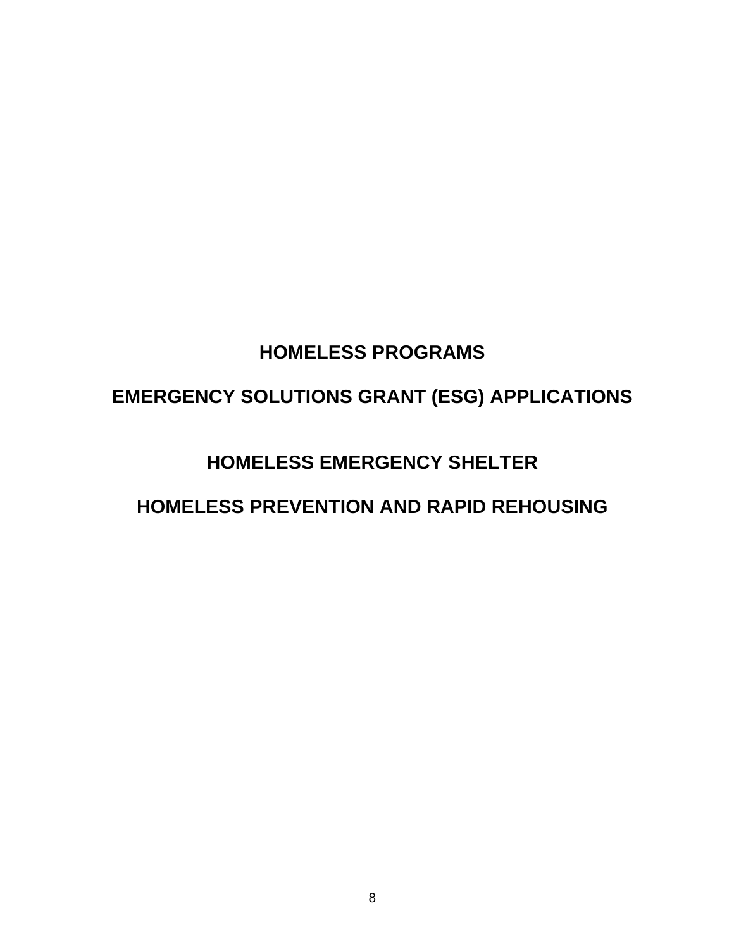## **HOMELESS PROGRAMS**

## **EMERGENCY SOLUTIONS GRANT (ESG) APPLICATIONS**

## **HOMELESS EMERGENCY SHELTER**

## **HOMELESS PREVENTION AND RAPID REHOUSING**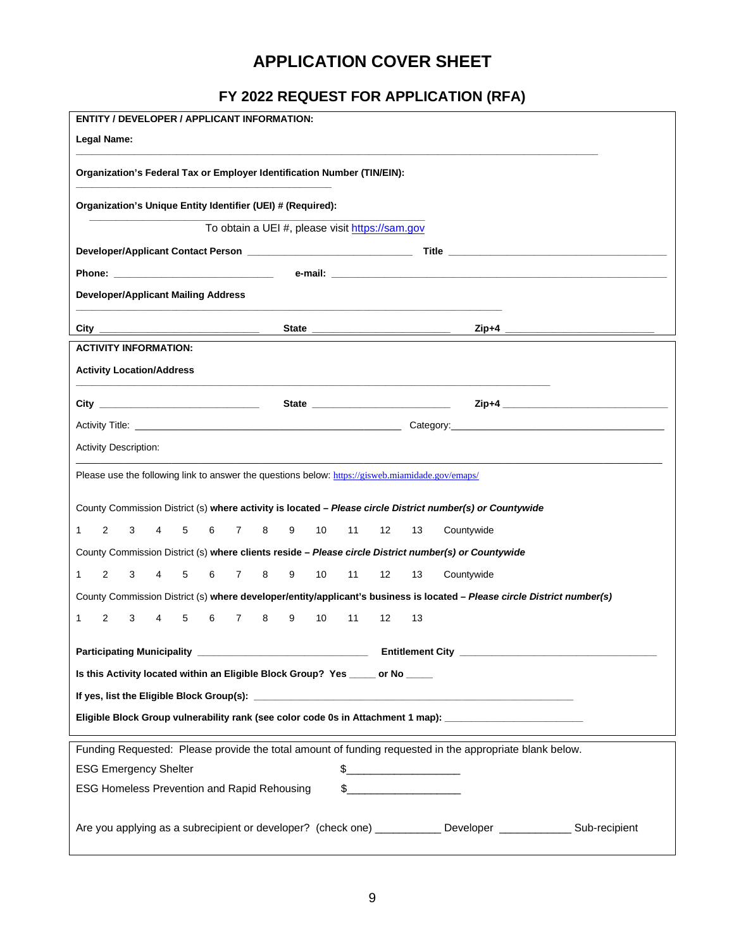### **APPLICATION COVER SHEET**

## **FY 2022 REQUEST FOR APPLICATION (RFA)**

| <b>Legal Name:</b>                                                                                                                                                                                                                                                                                                                                                                                                        |  |
|---------------------------------------------------------------------------------------------------------------------------------------------------------------------------------------------------------------------------------------------------------------------------------------------------------------------------------------------------------------------------------------------------------------------------|--|
|                                                                                                                                                                                                                                                                                                                                                                                                                           |  |
| Organization's Federal Tax or Employer Identification Number (TIN/EIN):                                                                                                                                                                                                                                                                                                                                                   |  |
| Organization's Unique Entity Identifier (UEI) # (Required):                                                                                                                                                                                                                                                                                                                                                               |  |
| To obtain a UEI #, please visit https://sam.gov                                                                                                                                                                                                                                                                                                                                                                           |  |
|                                                                                                                                                                                                                                                                                                                                                                                                                           |  |
|                                                                                                                                                                                                                                                                                                                                                                                                                           |  |
| <b>Developer/Applicant Mailing Address</b><br>the control of the control of the control of the control of the control of the control of                                                                                                                                                                                                                                                                                   |  |
| State                                                                                                                                                                                                                                                                                                                                                                                                                     |  |
| <b>ACTIVITY INFORMATION:</b>                                                                                                                                                                                                                                                                                                                                                                                              |  |
| <b>Activity Location/Address</b>                                                                                                                                                                                                                                                                                                                                                                                          |  |
|                                                                                                                                                                                                                                                                                                                                                                                                                           |  |
|                                                                                                                                                                                                                                                                                                                                                                                                                           |  |
| <b>Activity Description:</b>                                                                                                                                                                                                                                                                                                                                                                                              |  |
| Please use the following link to answer the questions below: https://gisweb.miamidade.gov/emaps/                                                                                                                                                                                                                                                                                                                          |  |
| County Commission District (s) where activity is located - Please circle District number(s) or Countywide<br>2<br>1<br>3<br>5<br>6<br>$\overline{7}$<br>8<br>9<br>10<br>11<br>12<br>13<br>Countywide<br>4                                                                                                                                                                                                                 |  |
| County Commission District (s) where clients reside - Please circle District number(s) or Countywide                                                                                                                                                                                                                                                                                                                      |  |
| 2<br>9<br>10<br>11<br>1<br>3<br>4<br>5<br>6<br>$\overline{7}$<br>8<br>12<br>13<br>Countywide                                                                                                                                                                                                                                                                                                                              |  |
| County Commission District (s) where developer/entity/applicant's business is located - Please circle District number(s)                                                                                                                                                                                                                                                                                                  |  |
| 2<br>3<br>$\overline{4}$<br>5<br>6<br>$\overline{7}$<br>8<br>9<br>10<br>11<br>12<br>13<br>1                                                                                                                                                                                                                                                                                                                               |  |
|                                                                                                                                                                                                                                                                                                                                                                                                                           |  |
| Is this Activity located within an Eligible Block Group? Yes ____ or No ____                                                                                                                                                                                                                                                                                                                                              |  |
|                                                                                                                                                                                                                                                                                                                                                                                                                           |  |
| Eligible Block Group vulnerability rank (see color code 0s in Attachment 1 map): [[[[[[[[[[[[[[[[[[[[[[[[]]]]]                                                                                                                                                                                                                                                                                                            |  |
| Funding Requested: Please provide the total amount of funding requested in the appropriate blank below.                                                                                                                                                                                                                                                                                                                   |  |
| <b>ESG Emergency Shelter</b>                                                                                                                                                                                                                                                                                                                                                                                              |  |
| $\begin{picture}(20,10) \put(0,0){\vector(1,0){100}} \put(15,0){\vector(1,0){100}} \put(15,0){\vector(1,0){100}} \put(15,0){\vector(1,0){100}} \put(15,0){\vector(1,0){100}} \put(15,0){\vector(1,0){100}} \put(15,0){\vector(1,0){100}} \put(15,0){\vector(1,0){100}} \put(15,0){\vector(1,0){100}} \put(15,0){\vector(1,0){100}} \put(15,0){\vector(1,0){100}} \$<br><b>ESG Homeless Prevention and Rapid Rehousing</b> |  |
|                                                                                                                                                                                                                                                                                                                                                                                                                           |  |
| Are you applying as a subrecipient or developer? (check one) _____________ Developer ______________ Sub-recipient                                                                                                                                                                                                                                                                                                         |  |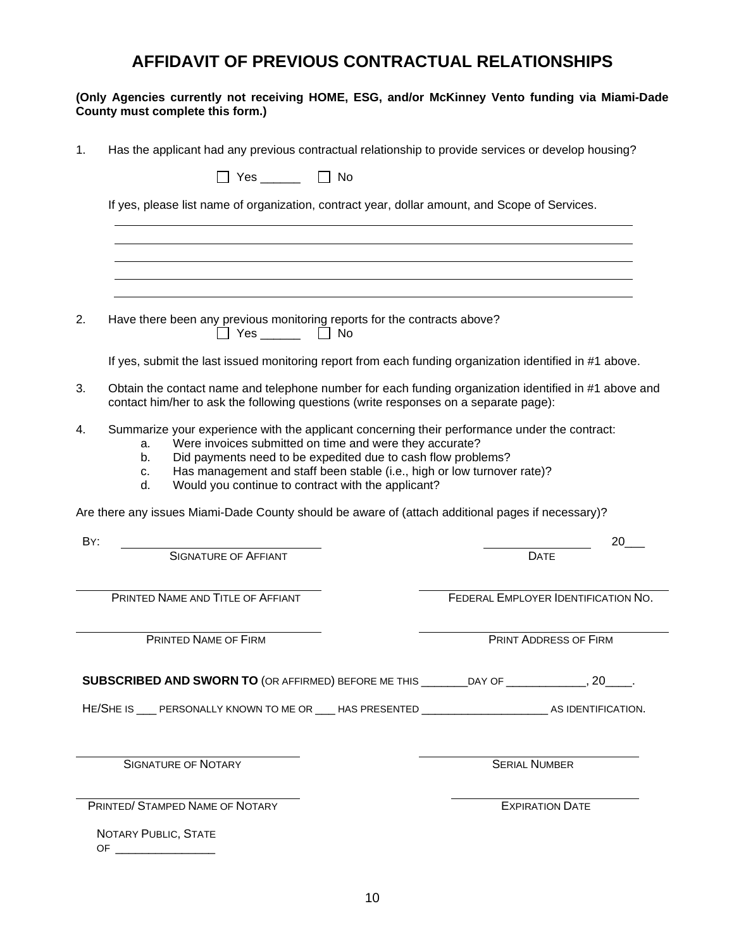### **AFFIDAVIT OF PREVIOUS CONTRACTUAL RELATIONSHIPS**

#### **(Only Agencies currently not receiving HOME, ESG, and/or McKinney Vento funding via Miami-Dade County must complete this form.)**

| 1.  | Has the applicant had any previous contractual relationship to provide services or develop housing?                                                                                                                                                                                                                                                                                        |                                     |
|-----|--------------------------------------------------------------------------------------------------------------------------------------------------------------------------------------------------------------------------------------------------------------------------------------------------------------------------------------------------------------------------------------------|-------------------------------------|
|     | $\Box$ Yes $\Box$ No                                                                                                                                                                                                                                                                                                                                                                       |                                     |
|     | If yes, please list name of organization, contract year, dollar amount, and Scope of Services.                                                                                                                                                                                                                                                                                             |                                     |
|     |                                                                                                                                                                                                                                                                                                                                                                                            |                                     |
|     |                                                                                                                                                                                                                                                                                                                                                                                            |                                     |
| 2.  | Have there been any previous monitoring reports for the contracts above?<br>$\Box$ Yes $\Box$ No                                                                                                                                                                                                                                                                                           |                                     |
|     | If yes, submit the last issued monitoring report from each funding organization identified in #1 above.                                                                                                                                                                                                                                                                                    |                                     |
| 3.  | Obtain the contact name and telephone number for each funding organization identified in #1 above and<br>contact him/her to ask the following questions (write responses on a separate page):                                                                                                                                                                                              |                                     |
| 4.  | Summarize your experience with the applicant concerning their performance under the contract:<br>Were invoices submitted on time and were they accurate?<br>a.<br>Did payments need to be expedited due to cash flow problems?<br>b.<br>Has management and staff been stable (i.e., high or low turnover rate)?<br>C.<br>Would you continue to contract with the applicant?<br>$d_{\cdot}$ |                                     |
|     | Are there any issues Miami-Dade County should be aware of (attach additional pages if necessary)?                                                                                                                                                                                                                                                                                          |                                     |
| BY: | <b>SIGNATURE OF AFFIANT</b>                                                                                                                                                                                                                                                                                                                                                                | 20<br><b>DATE</b>                   |
|     | PRINTED NAME AND TITLE OF AFFIANT                                                                                                                                                                                                                                                                                                                                                          | FEDERAL EMPLOYER IDENTIFICATION NO. |
|     | PRINTED NAME OF FIRM                                                                                                                                                                                                                                                                                                                                                                       | PRINT ADDRESS OF FIRM               |
|     | SUBSCRIBED AND SWORN TO (OR AFFIRMED) BEFORE ME THIS ________DAY OF _____________, 20____.                                                                                                                                                                                                                                                                                                 |                                     |
|     | HE/SHE IS ____ PERSONALLY KNOWN TO ME OR ____ HAS PRESENTED ____________________________ AS IDENTIFICATION.                                                                                                                                                                                                                                                                                |                                     |
|     | <b>SIGNATURE OF NOTARY</b>                                                                                                                                                                                                                                                                                                                                                                 | <b>SERIAL NUMBER</b>                |
|     | PRINTED/ STAMPED NAME OF NOTARY                                                                                                                                                                                                                                                                                                                                                            | <b>EXPIRATION DATE</b>              |
|     | NOTARY PUBLIC, STATE                                                                                                                                                                                                                                                                                                                                                                       |                                     |
|     | OF $\overline{\phantom{a} \phantom{a} \phantom{a}}$                                                                                                                                                                                                                                                                                                                                        |                                     |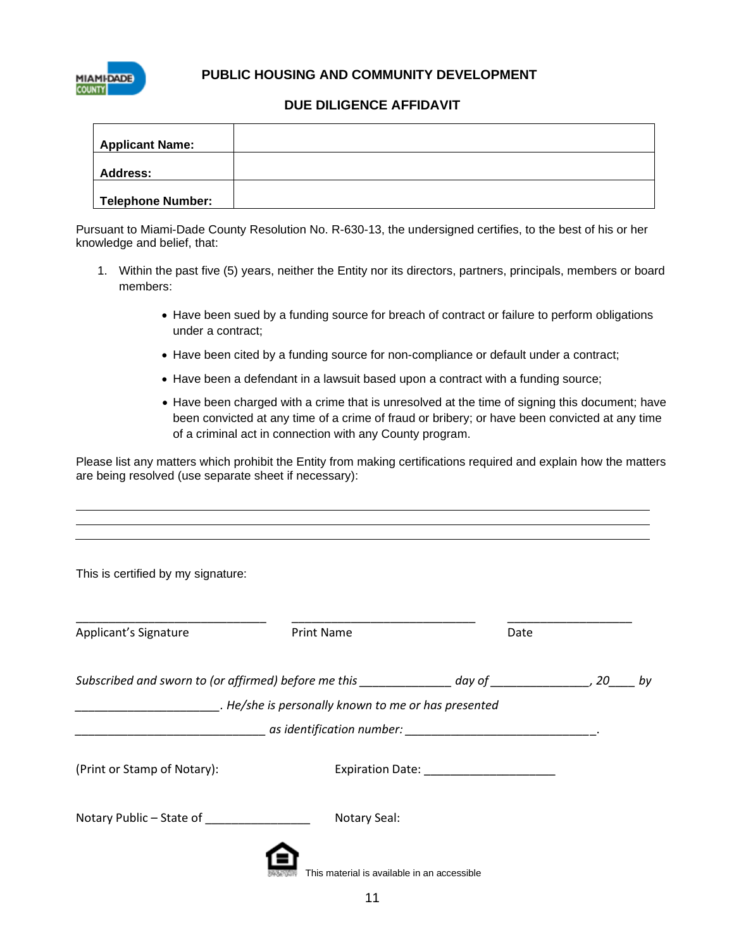

 **PUBLIC HOUSING AND COMMUNITY DEVELOPMENT**

#### **DUE DILIGENCE AFFIDAVIT**

| <b>Applicant Name:</b>   |  |
|--------------------------|--|
| <b>Address:</b>          |  |
| <b>Telephone Number:</b> |  |

Pursuant to Miami-Dade County Resolution No. R-630-13, the undersigned certifies, to the best of his or her knowledge and belief, that:

- 1. Within the past five (5) years, neither the Entity nor its directors, partners, principals, members or board members:
	- Have been sued by a funding source for breach of contract or failure to perform obligations under a contract;
	- Have been cited by a funding source for non-compliance or default under a contract;
	- Have been a defendant in a lawsuit based upon a contract with a funding source;
	- Have been charged with a crime that is unresolved at the time of signing this document; have been convicted at any time of a crime of fraud or bribery; or have been convicted at any time of a criminal act in connection with any County program.

Please list any matters which prohibit the Entity from making certifications required and explain how the matters are being resolved (use separate sheet if necessary):

| This is certified by my signature:                                                                      |                                             |      |  |
|---------------------------------------------------------------------------------------------------------|---------------------------------------------|------|--|
| Applicant's Signature                                                                                   | <b>Print Name</b>                           | Date |  |
| Subscribed and sworn to (or affirmed) before me this ______________ day of ________________, 20_____ by |                                             |      |  |
| He/she is personally known to me or has presented                                                       |                                             |      |  |
|                                                                                                         |                                             |      |  |
| (Print or Stamp of Notary):                                                                             |                                             |      |  |
| Notary Public - State of ______________                                                                 | Notary Seal:                                |      |  |
|                                                                                                         | This material is available in an accessible |      |  |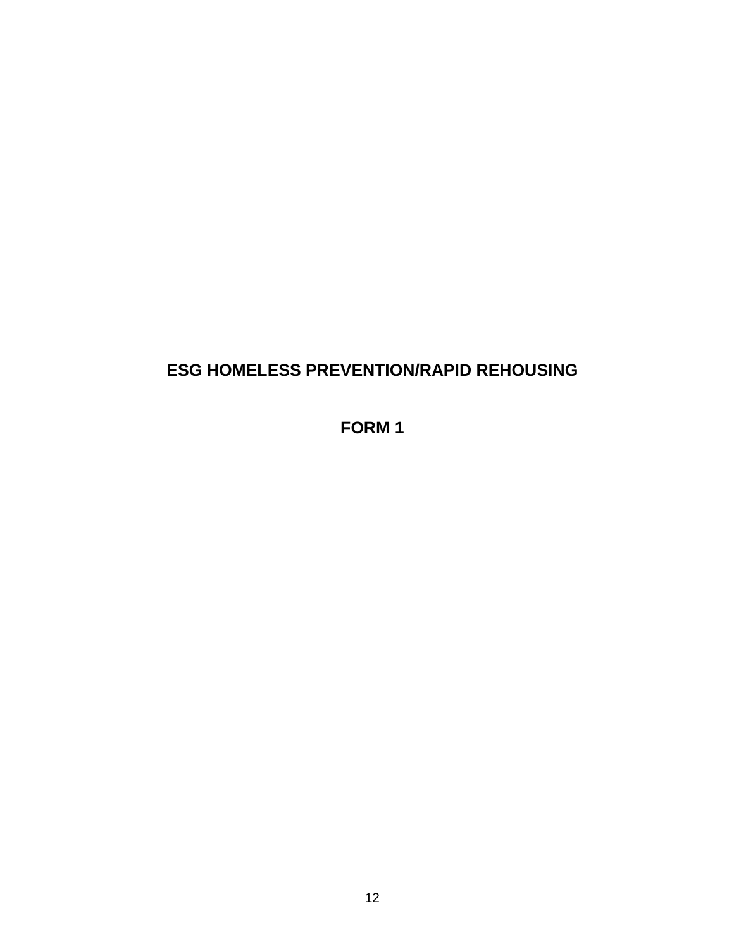## **ESG HOMELESS PREVENTION/RAPID REHOUSING**

**FORM 1**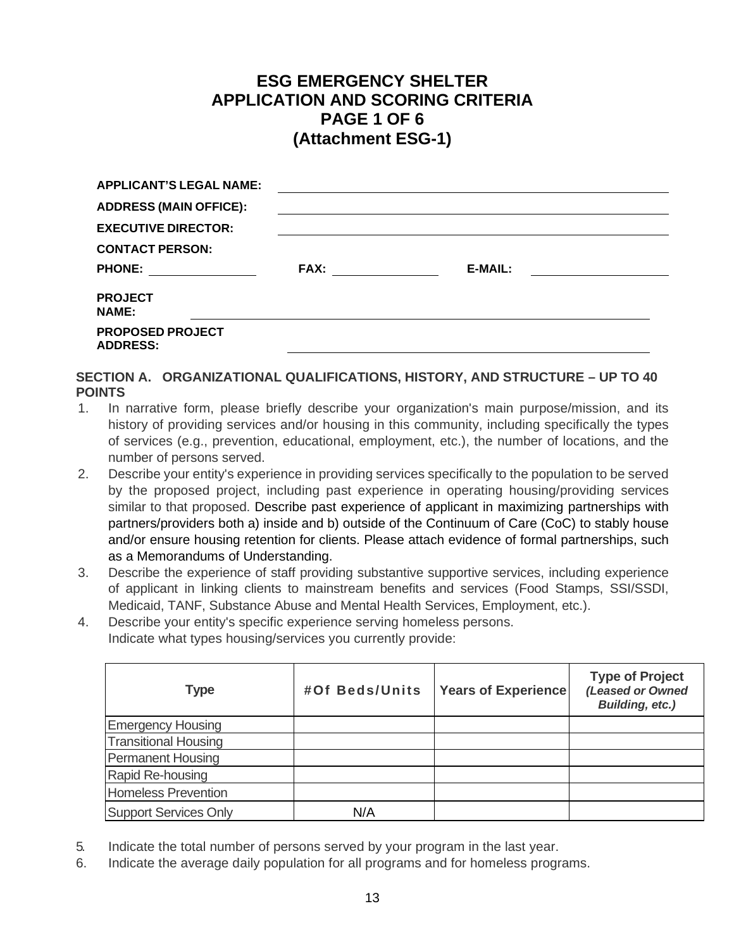### **ESG EMERGENCY SHELTER APPLICATION AND SCORING CRITERIA PAGE 1 OF 6 (Attachment ESG-1)**

| <b>APPLICANT'S LEGAL NAME:</b>             |                |
|--------------------------------------------|----------------|
| <b>ADDRESS (MAIN OFFICE):</b>              |                |
| <b>EXECUTIVE DIRECTOR:</b>                 |                |
| <b>CONTACT PERSON:</b>                     |                |
| <b>PHONE:</b>                              | <b>E-MAIL:</b> |
| <b>PROJECT</b><br><b>NAME:</b>             |                |
| <b>PROPOSED PROJECT</b><br><b>ADDRESS:</b> |                |

#### **SECTION A. ORGANIZATIONAL QUALIFICATIONS, HISTORY, AND STRUCTURE – UP TO 40 POINTS**

- 1. In narrative form, please briefly describe your organization's main purpose/mission, and its history of providing services and/or housing in this community, including specifically the types of services (e.g., prevention, educational, employment, etc.), the number of locations, and the number of persons served.
- 2. Describe your entity's experience in providing services specifically to the population to be served by the proposed project, including past experience in operating housing/providing services similar to that proposed. Describe past experience of applicant in maximizing partnerships with partners/providers both a) inside and b) outside of the Continuum of Care (CoC) to stably house and/or ensure housing retention for clients. Please attach evidence of formal partnerships, such as a Memorandums of Understanding.
- 3. Describe the experience of staff providing substantive supportive services, including experience of applicant in linking clients to mainstream benefits and services (Food Stamps, SSI/SSDI, Medicaid, TANF, Substance Abuse and Mental Health Services, Employment, etc.).
- 4. Describe your entity's specific experience serving homeless persons. Indicate what types housing/services you currently provide:

| Type                        | #Of Beds/Units | <b>Years of Experience</b> | <b>Type of Project</b><br>(Leased or Owned<br><b>Building, etc.)</b> |
|-----------------------------|----------------|----------------------------|----------------------------------------------------------------------|
| <b>Emergency Housing</b>    |                |                            |                                                                      |
| <b>Transitional Housing</b> |                |                            |                                                                      |
| <b>Permanent Housing</b>    |                |                            |                                                                      |
| Rapid Re-housing            |                |                            |                                                                      |
| Homeless Prevention         |                |                            |                                                                      |
| Support Services Only       | N/A            |                            |                                                                      |

- 5. Indicate the total number of persons served by your program in the last year.
- 6. Indicate the average daily population for all programs and for homeless programs.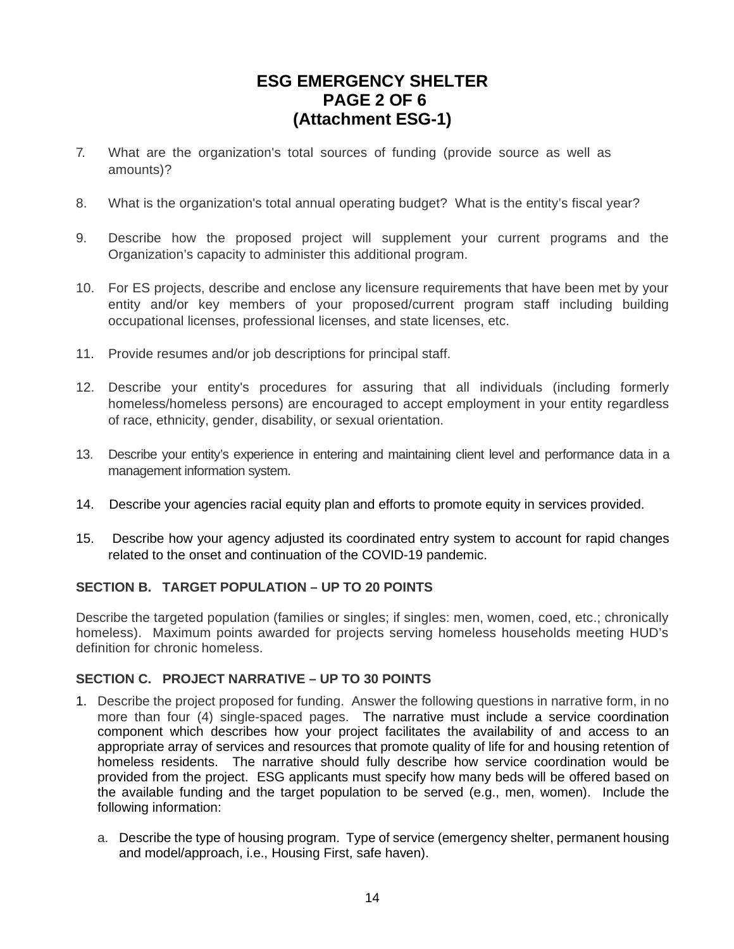### **ESG EMERGENCY SHELTER PAGE 2 OF 6 (Attachment ESG-1)**

- 7. What are the organization's total sources of funding (provide source as well as amounts)?
- 8. What is the organization's total annual operating budget? What is the entity's fiscal year?
- 9. Describe how the proposed project will supplement your current programs and the Organization's capacity to administer this additional program.
- 10. For ES projects, describe and enclose any licensure requirements that have been met by your entity and/or key members of your proposed/current program staff including building occupational licenses, professional licenses, and state licenses, etc.
- 11. Provide resumes and/or job descriptions for principal staff.
- 12. Describe your entity's procedures for assuring that all individuals (including formerly homeless/homeless persons) are encouraged to accept employment in your entity regardless of race, ethnicity, gender, disability, or sexual orientation.
- 13. Describe your entity's experience in entering and maintaining client level and performance data in a management information system.
- 14. Describe your agencies racial equity plan and efforts to promote equity in services provided.
- 15. Describe how your agency adjusted its coordinated entry system to account for rapid changes related to the onset and continuation of the COVID-19 pandemic.

#### **SECTION B. TARGET POPULATION – UP TO 20 POINTS**

Describe the targeted population (families or singles; if singles: men, women, coed, etc.; chronically homeless). Maximum points awarded for projects serving homeless households meeting HUD's definition for chronic homeless.

#### **SECTION C. PROJECT NARRATIVE – UP TO 30 POINTS**

- 1. Describe the project proposed for funding. Answer the following questions in narrative form, in no more than four (4) single-spaced pages. The narrative must include a service coordination component which describes how your project facilitates the availability of and access to an appropriate array of services and resources that promote quality of life for and housing retention of homeless residents. The narrative should fully describe how service coordination would be provided from the project. ESG applicants must specify how many beds will be offered based on the available funding and the target population to be served (e.g., men, women). Include the following information:
	- a. Describe the type of housing program. Type of service (emergency shelter, permanent housing and model/approach, i.e., Housing First, safe haven).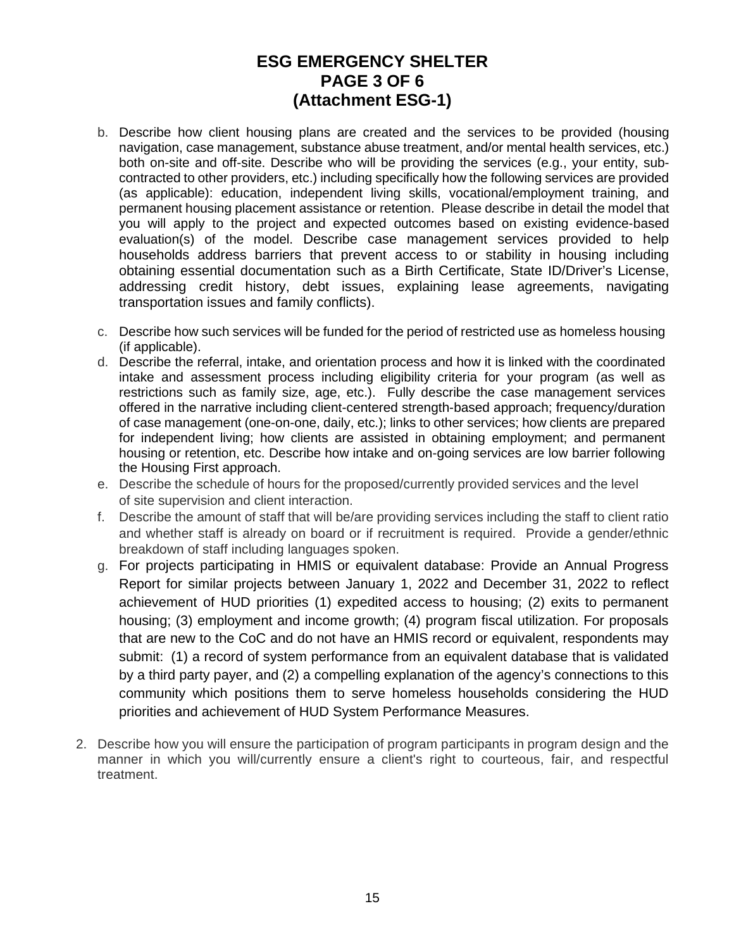### **ESG EMERGENCY SHELTER PAGE 3 OF 6 (Attachment ESG-1)**

- b. Describe how client housing plans are created and the services to be provided (housing navigation, case management, substance abuse treatment, and/or mental health services, etc.) both on-site and off-site. Describe who will be providing the services (e.g., your entity, subcontracted to other providers, etc.) including specifically how the following services are provided (as applicable): education, independent living skills, vocational/employment training, and permanent housing placement assistance or retention. Please describe in detail the model that you will apply to the project and expected outcomes based on existing evidence-based evaluation(s) of the model. Describe case management services provided to help households address barriers that prevent access to or stability in housing including obtaining essential documentation such as a Birth Certificate, State ID/Driver's License, addressing credit history, debt issues, explaining lease agreements, navigating transportation issues and family conflicts).
- c. Describe how such services will be funded for the period of restricted use as homeless housing (if applicable).
- d. Describe the referral, intake, and orientation process and how it is linked with the coordinated intake and assessment process including eligibility criteria for your program (as well as restrictions such as family size, age, etc.). Fully describe the case management services offered in the narrative including client-centered strength-based approach; frequency/duration of case management (one-on-one, daily, etc.); links to other services; how clients are prepared for independent living; how clients are assisted in obtaining employment; and permanent housing or retention, etc. Describe how intake and on-going services are low barrier following the Housing First approach.
- e. Describe the schedule of hours for the proposed/currently provided services and the level of site supervision and client interaction.
- f. Describe the amount of staff that will be/are providing services including the staff to client ratio and whether staff is already on board or if recruitment is required. Provide a gender/ethnic breakdown of staff including languages spoken.
- g. For projects participating in HMIS or equivalent database: Provide an Annual Progress Report for similar projects between January 1, 2022 and December 31, 2022 to reflect achievement of HUD priorities (1) expedited access to housing; (2) exits to permanent housing; (3) employment and income growth; (4) program fiscal utilization. For proposals that are new to the CoC and do not have an HMIS record or equivalent, respondents may submit: (1) a record of system performance from an equivalent database that is validated by a third party payer, and (2) a compelling explanation of the agency's connections to this community which positions them to serve homeless households considering the HUD priorities and achievement of HUD System Performance Measures.
- 2. Describe how you will ensure the participation of program participants in program design and the manner in which you will/currently ensure a client's right to courteous, fair, and respectful treatment.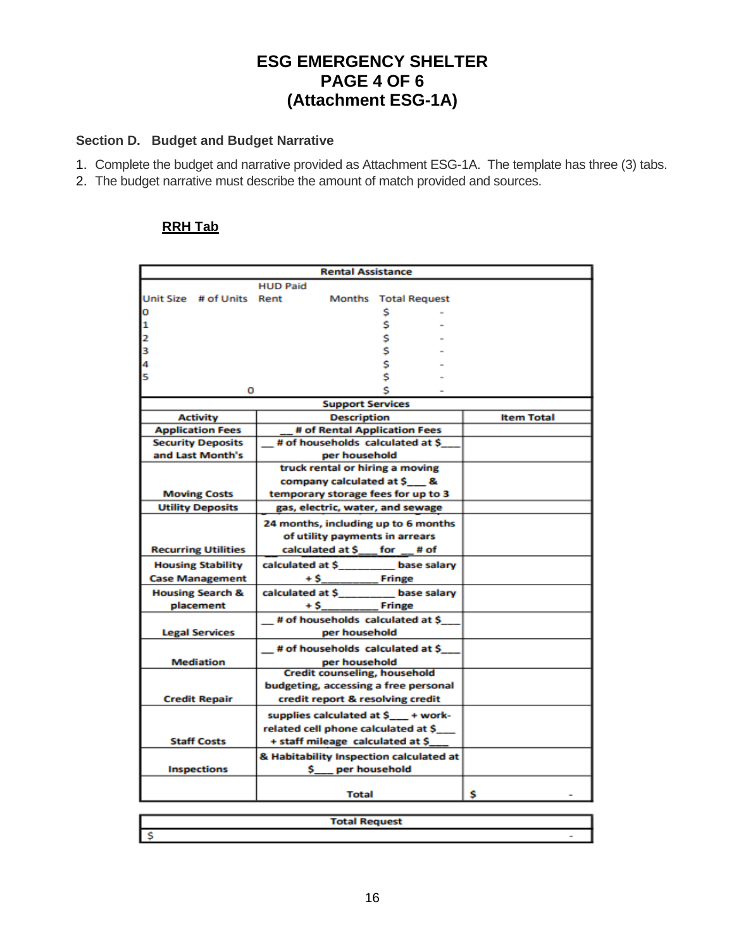### **ESG EMERGENCY SHELTER PAGE 4 OF 6 (Attachment ESG-1A)**

### **Section D. Budget and Budget Narrative**

- 1. Complete the budget and narrative provided as Attachment ESG-1A. The template has three (3) tabs.
- 2. The budget narrative must describe the amount of match provided and sources.

### **RRH Tab**

| <b>HUD Paid</b><br>Unit Size # of Units Rent<br>Months Total Request<br>0<br>\$<br>\$<br>1<br>\$<br>2<br>\$<br>3<br>\$<br>\$<br>4<br>5<br>0<br><b>Support Services</b><br><b>Activity</b><br><b>Description</b><br><b>Item Total</b><br># of Rental Application Fees<br><b>Application Fees</b><br># of households calculated at \$<br><b>Security Deposits</b><br>and Last Month's<br>per household<br>truck rental or hiring a moving<br>company calculated at \$ &<br>temporary storage fees for up to 3<br><b>Moving Costs</b><br><b>Utility Deposits</b><br>gas, electric, water, and sewage<br>24 months, including up to 6 months<br>of utility payments in arrears<br>calculated at \$___ for __# of<br><b>Recurring Utilities</b> | <b>Rental Assistance</b> |  |  |  |
|--------------------------------------------------------------------------------------------------------------------------------------------------------------------------------------------------------------------------------------------------------------------------------------------------------------------------------------------------------------------------------------------------------------------------------------------------------------------------------------------------------------------------------------------------------------------------------------------------------------------------------------------------------------------------------------------------------------------------------------------|--------------------------|--|--|--|
|                                                                                                                                                                                                                                                                                                                                                                                                                                                                                                                                                                                                                                                                                                                                            |                          |  |  |  |
|                                                                                                                                                                                                                                                                                                                                                                                                                                                                                                                                                                                                                                                                                                                                            |                          |  |  |  |
|                                                                                                                                                                                                                                                                                                                                                                                                                                                                                                                                                                                                                                                                                                                                            |                          |  |  |  |
|                                                                                                                                                                                                                                                                                                                                                                                                                                                                                                                                                                                                                                                                                                                                            |                          |  |  |  |
|                                                                                                                                                                                                                                                                                                                                                                                                                                                                                                                                                                                                                                                                                                                                            |                          |  |  |  |
|                                                                                                                                                                                                                                                                                                                                                                                                                                                                                                                                                                                                                                                                                                                                            |                          |  |  |  |
|                                                                                                                                                                                                                                                                                                                                                                                                                                                                                                                                                                                                                                                                                                                                            |                          |  |  |  |
|                                                                                                                                                                                                                                                                                                                                                                                                                                                                                                                                                                                                                                                                                                                                            |                          |  |  |  |
|                                                                                                                                                                                                                                                                                                                                                                                                                                                                                                                                                                                                                                                                                                                                            |                          |  |  |  |
|                                                                                                                                                                                                                                                                                                                                                                                                                                                                                                                                                                                                                                                                                                                                            |                          |  |  |  |
|                                                                                                                                                                                                                                                                                                                                                                                                                                                                                                                                                                                                                                                                                                                                            |                          |  |  |  |
|                                                                                                                                                                                                                                                                                                                                                                                                                                                                                                                                                                                                                                                                                                                                            |                          |  |  |  |
|                                                                                                                                                                                                                                                                                                                                                                                                                                                                                                                                                                                                                                                                                                                                            |                          |  |  |  |
|                                                                                                                                                                                                                                                                                                                                                                                                                                                                                                                                                                                                                                                                                                                                            |                          |  |  |  |
|                                                                                                                                                                                                                                                                                                                                                                                                                                                                                                                                                                                                                                                                                                                                            |                          |  |  |  |
|                                                                                                                                                                                                                                                                                                                                                                                                                                                                                                                                                                                                                                                                                                                                            |                          |  |  |  |
|                                                                                                                                                                                                                                                                                                                                                                                                                                                                                                                                                                                                                                                                                                                                            |                          |  |  |  |
|                                                                                                                                                                                                                                                                                                                                                                                                                                                                                                                                                                                                                                                                                                                                            |                          |  |  |  |
|                                                                                                                                                                                                                                                                                                                                                                                                                                                                                                                                                                                                                                                                                                                                            |                          |  |  |  |
|                                                                                                                                                                                                                                                                                                                                                                                                                                                                                                                                                                                                                                                                                                                                            |                          |  |  |  |
|                                                                                                                                                                                                                                                                                                                                                                                                                                                                                                                                                                                                                                                                                                                                            |                          |  |  |  |
| calculated at \$________ base salary<br><b>Housing Stability</b>                                                                                                                                                                                                                                                                                                                                                                                                                                                                                                                                                                                                                                                                           |                          |  |  |  |
| $+$ \$<br><b>Case Management</b>                                                                                                                                                                                                                                                                                                                                                                                                                                                                                                                                                                                                                                                                                                           |                          |  |  |  |
| calculated at \$_______ base salary<br><b>Housing Search &amp;</b>                                                                                                                                                                                                                                                                                                                                                                                                                                                                                                                                                                                                                                                                         |                          |  |  |  |
| placement<br>$+5$<br>_ Fringe                                                                                                                                                                                                                                                                                                                                                                                                                                                                                                                                                                                                                                                                                                              |                          |  |  |  |
| # of households calculated at \$                                                                                                                                                                                                                                                                                                                                                                                                                                                                                                                                                                                                                                                                                                           |                          |  |  |  |
| per household<br><b>Legal Services</b>                                                                                                                                                                                                                                                                                                                                                                                                                                                                                                                                                                                                                                                                                                     |                          |  |  |  |
| # of households calculated at \$                                                                                                                                                                                                                                                                                                                                                                                                                                                                                                                                                                                                                                                                                                           |                          |  |  |  |
| <b>Mediation</b><br>per household                                                                                                                                                                                                                                                                                                                                                                                                                                                                                                                                                                                                                                                                                                          |                          |  |  |  |
| <b>Credit counseling, household</b>                                                                                                                                                                                                                                                                                                                                                                                                                                                                                                                                                                                                                                                                                                        |                          |  |  |  |
| budgeting, accessing a free personal                                                                                                                                                                                                                                                                                                                                                                                                                                                                                                                                                                                                                                                                                                       |                          |  |  |  |
| <b>Credit Repair</b><br>credit report & resolving credit                                                                                                                                                                                                                                                                                                                                                                                                                                                                                                                                                                                                                                                                                   |                          |  |  |  |
| supplies calculated at \$__ + work-                                                                                                                                                                                                                                                                                                                                                                                                                                                                                                                                                                                                                                                                                                        |                          |  |  |  |
| related cell phone calculated at \$                                                                                                                                                                                                                                                                                                                                                                                                                                                                                                                                                                                                                                                                                                        |                          |  |  |  |
| <b>Staff Costs</b><br>+ staff mileage calculated at \$                                                                                                                                                                                                                                                                                                                                                                                                                                                                                                                                                                                                                                                                                     |                          |  |  |  |
| & Habitability Inspection calculated at                                                                                                                                                                                                                                                                                                                                                                                                                                                                                                                                                                                                                                                                                                    |                          |  |  |  |
| \$ per household<br><b>Inspections</b>                                                                                                                                                                                                                                                                                                                                                                                                                                                                                                                                                                                                                                                                                                     |                          |  |  |  |
|                                                                                                                                                                                                                                                                                                                                                                                                                                                                                                                                                                                                                                                                                                                                            |                          |  |  |  |
| s<br>Total                                                                                                                                                                                                                                                                                                                                                                                                                                                                                                                                                                                                                                                                                                                                 |                          |  |  |  |

| Total<br><b>Total Request</b> |  |
|-------------------------------|--|
|                               |  |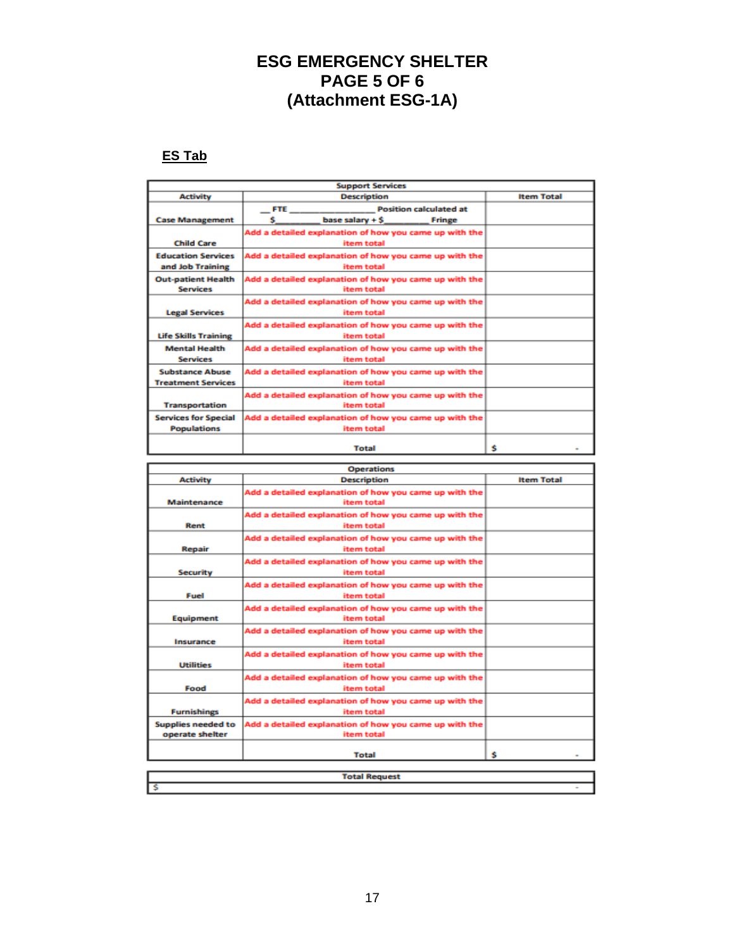### **ESG EMERGENCY SHELTER PAGE 5 OF 6 (Attachment ESG-1A)**

### **ES Tab**

|                             | <b>Support Services</b>                                |                   |
|-----------------------------|--------------------------------------------------------|-------------------|
| <b>Activity</b>             | <b>Description</b>                                     | <b>Item Total</b> |
|                             | <b>Position calculated at</b><br><b>FTE</b>            |                   |
| <b>Case Management</b>      | s<br>base salary + \$<br>Fringe                        |                   |
|                             | Add a detailed explanation of how you came up with the |                   |
| <b>Child Care</b>           | item total                                             |                   |
| <b>Education Services</b>   | Add a detailed explanation of how you came up with the |                   |
| and Job Training            | item total                                             |                   |
| <b>Out-patient Health</b>   | Add a detailed explanation of how you came up with the |                   |
| <b>Services</b>             | item total                                             |                   |
|                             | Add a detailed explanation of how you came up with the |                   |
| <b>Legal Services</b>       | item total                                             |                   |
|                             | Add a detailed explanation of how you came up with the |                   |
| <b>Life Skills Training</b> | item total                                             |                   |
| <b>Mental Health</b>        | Add a detailed explanation of how you came up with the |                   |
| <b>Services</b>             | item total                                             |                   |
| <b>Substance Abuse</b>      | Add a detailed explanation of how you came up with the |                   |
| <b>Treatment Services</b>   | item total                                             |                   |
|                             | Add a detailed explanation of how you came up with the |                   |
| <b>Transportation</b>       | item total                                             |                   |
| <b>Services for Special</b> | Add a detailed explanation of how you came up with the |                   |
| <b>Populations</b>          | item total                                             |                   |
|                             |                                                        |                   |
|                             | <b>Total</b>                                           | Ś                 |

|                           | <b>Operations</b>                                      |                   |  |
|---------------------------|--------------------------------------------------------|-------------------|--|
| <b>Activity</b>           | <b>Description</b>                                     | <b>Item Total</b> |  |
|                           | Add a detailed explanation of how you came up with the |                   |  |
| <b>Maintenance</b>        | item total                                             |                   |  |
|                           | Add a detailed explanation of how you came up with the |                   |  |
| Rent                      | item total                                             |                   |  |
|                           | Add a detailed explanation of how you came up with the |                   |  |
| Repair                    | item total                                             |                   |  |
|                           | Add a detailed explanation of how you came up with the |                   |  |
| <b>Security</b>           | item total                                             |                   |  |
|                           | Add a detailed explanation of how you came up with the |                   |  |
| Fuel                      | item total                                             |                   |  |
|                           | Add a detailed explanation of how you came up with the |                   |  |
| Equipment                 | item total                                             |                   |  |
|                           | Add a detailed explanation of how you came up with the |                   |  |
| Insurance                 | item total                                             |                   |  |
|                           | Add a detailed explanation of how you came up with the |                   |  |
| <b>Utilities</b>          | item total                                             |                   |  |
|                           | Add a detailed explanation of how you came up with the |                   |  |
| Food                      | item total                                             |                   |  |
|                           | Add a detailed explanation of how you came up with the |                   |  |
| <b>Furnishings</b>        | item total                                             |                   |  |
| <b>Supplies needed to</b> | Add a detailed explanation of how you came up with the |                   |  |
| operate shelter           | item total                                             |                   |  |
|                           |                                                        |                   |  |
|                           | <b>Total</b>                                           | s                 |  |
|                           |                                                        |                   |  |
| <b>Total Request</b>      |                                                        |                   |  |
|                           |                                                        |                   |  |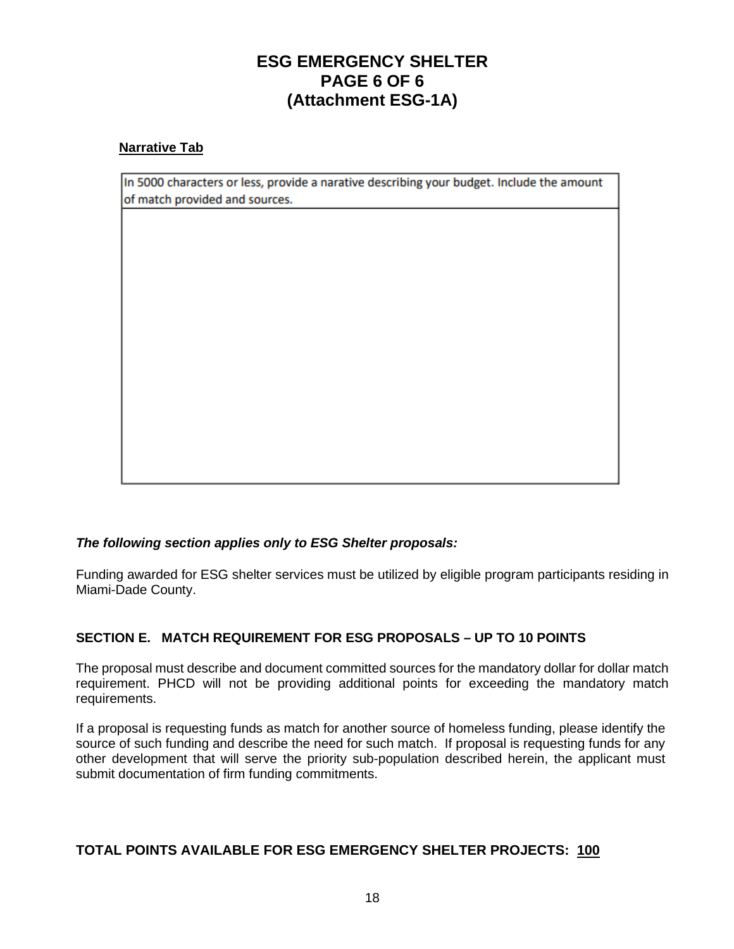### **ESG EMERGENCY SHELTER PAGE 6 OF 6 (Attachment ESG-1A)**

#### **Narrative Tab**

In 5000 characters or less, provide a narative describing your budget. Include the amount of match provided and sources.

#### *The following section applies only to ESG Shelter proposals:*

Funding awarded for ESG shelter services must be utilized by eligible program participants residing in Miami-Dade County.

#### **SECTION E. MATCH REQUIREMENT FOR ESG PROPOSALS – UP TO 10 POINTS**

The proposal must describe and document committed sources for the mandatory dollar for dollar match requirement. PHCD will not be providing additional points for exceeding the mandatory match requirements.

If a proposal is requesting funds as match for another source of homeless funding, please identify the source of such funding and describe the need for such match. If proposal is requesting funds for any other development that will serve the priority sub-population described herein, the applicant must submit documentation of firm funding commitments.

#### **TOTAL POINTS AVAILABLE FOR ESG EMERGENCY SHELTER PROJECTS: 100**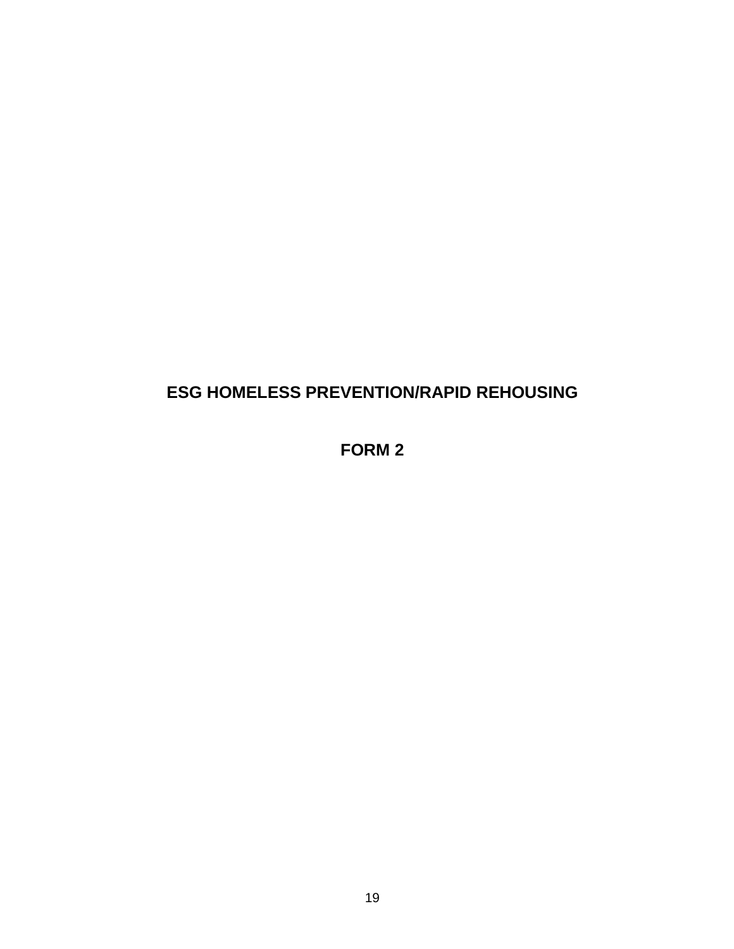### **ESG HOMELESS PREVENTION/RAPID REHOUSING**

### **FORM 2**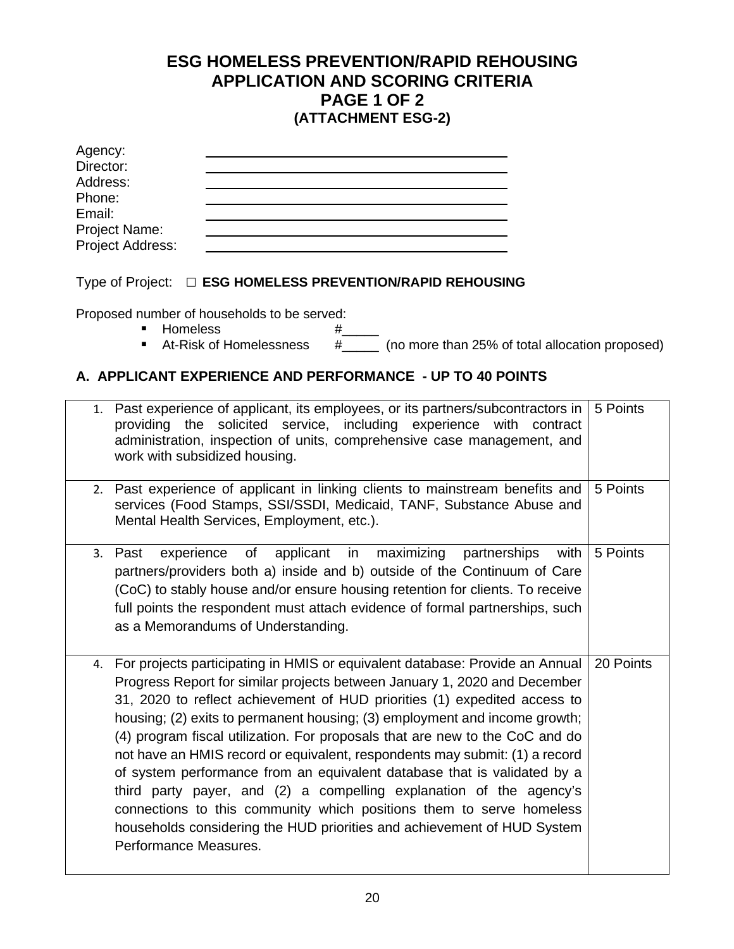### **ESG HOMELESS PREVENTION/RAPID REHOUSING APPLICATION AND SCORING CRITERIA PAGE 1 OF 2 (ATTACHMENT ESG-2)**

| Agency:                           |  |
|-----------------------------------|--|
| Director:                         |  |
| Address:                          |  |
| Phone:                            |  |
| Email:                            |  |
|                                   |  |
| Project Name:<br>Project Address: |  |

#### Type of Project:□ **ESG HOMELESS PREVENTION/RAPID REHOUSING**

Proposed number of households to be served:

- 
- Homeless #\_<br>■ At-Risk of Homelessness #  $\frac{H_{\text{max}}}{H_{\text{max}}}$  (no more than 25% of total allocation proposed)

### **A. APPLICANT EXPERIENCE AND PERFORMANCE - UP TO 40 POINTS**

|    | 1. Past experience of applicant, its employees, or its partners/subcontractors in<br>solicited service, including experience with<br>providing the<br>contract<br>administration, inspection of units, comprehensive case management, and<br>work with subsidized housing.                                                                                                                                                                                                                                                                                                                                                                                                                                                                                                                                         | 5 Points  |
|----|--------------------------------------------------------------------------------------------------------------------------------------------------------------------------------------------------------------------------------------------------------------------------------------------------------------------------------------------------------------------------------------------------------------------------------------------------------------------------------------------------------------------------------------------------------------------------------------------------------------------------------------------------------------------------------------------------------------------------------------------------------------------------------------------------------------------|-----------|
|    | 2. Past experience of applicant in linking clients to mainstream benefits and<br>services (Food Stamps, SSI/SSDI, Medicaid, TANF, Substance Abuse and<br>Mental Health Services, Employment, etc.).                                                                                                                                                                                                                                                                                                                                                                                                                                                                                                                                                                                                                | 5 Points  |
|    | of<br>applicant<br>in<br>maximizing<br>with<br>experience<br>partnerships<br>3. Past<br>partners/providers both a) inside and b) outside of the Continuum of Care<br>(CoC) to stably house and/or ensure housing retention for clients. To receive<br>full points the respondent must attach evidence of formal partnerships, such<br>as a Memorandums of Understanding.                                                                                                                                                                                                                                                                                                                                                                                                                                           | 5 Points  |
| 4. | For projects participating in HMIS or equivalent database: Provide an Annual<br>Progress Report for similar projects between January 1, 2020 and December<br>31, 2020 to reflect achievement of HUD priorities (1) expedited access to<br>housing; (2) exits to permanent housing; (3) employment and income growth;<br>(4) program fiscal utilization. For proposals that are new to the CoC and do<br>not have an HMIS record or equivalent, respondents may submit: (1) a record<br>of system performance from an equivalent database that is validated by a<br>third party payer, and (2) a compelling explanation of the agency's<br>connections to this community which positions them to serve homeless<br>households considering the HUD priorities and achievement of HUD System<br>Performance Measures. | 20 Points |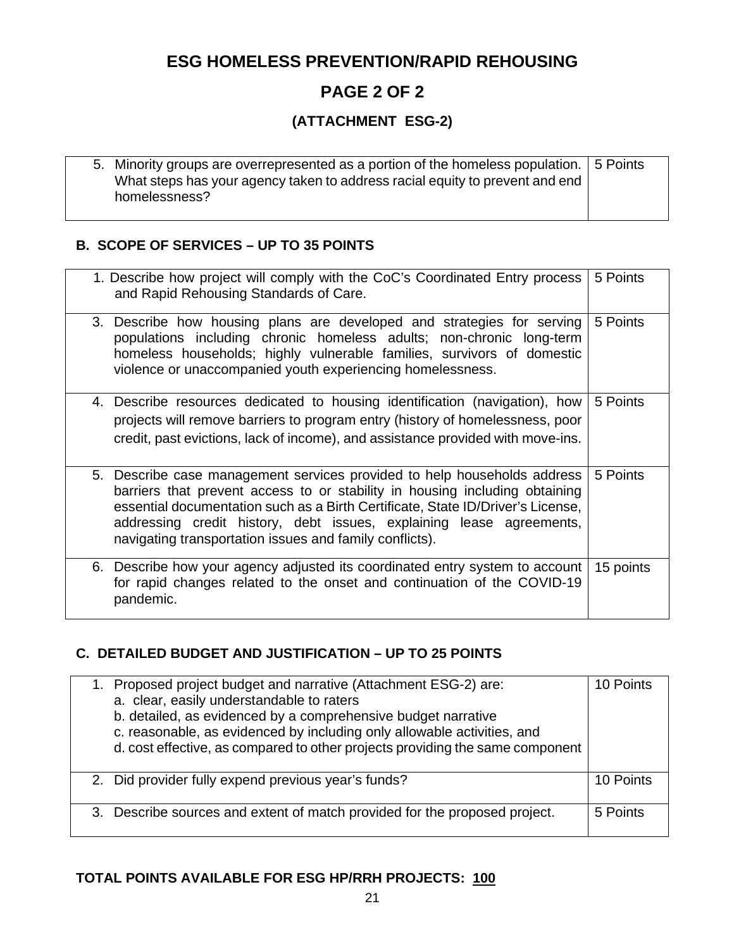### **ESG HOMELESS PREVENTION/RAPID REHOUSING**

### **PAGE 2 OF 2**

### **(ATTACHMENT ESG-2)**

|  | 5. Minority groups are overrepresented as a portion of the homeless population. 5 Points |  |
|--|------------------------------------------------------------------------------------------|--|
|  | What steps has your agency taken to address racial equity to prevent and end             |  |
|  | homelessness?                                                                            |  |
|  |                                                                                          |  |

### **B. SCOPE OF SERVICES – UP TO 35 POINTS**

| 1. Describe how project will comply with the CoC's Coordinated Entry process<br>and Rapid Rehousing Standards of Care.                                                                                                                                                                                                                                                        | 5 Points  |
|-------------------------------------------------------------------------------------------------------------------------------------------------------------------------------------------------------------------------------------------------------------------------------------------------------------------------------------------------------------------------------|-----------|
| 3. Describe how housing plans are developed and strategies for serving<br>populations including chronic homeless adults; non-chronic long-term<br>homeless households; highly vulnerable families, survivors of domestic<br>violence or unaccompanied youth experiencing homelessness.                                                                                        | 5 Points  |
| 4. Describe resources dedicated to housing identification (navigation), how<br>projects will remove barriers to program entry (history of homelessness, poor<br>credit, past evictions, lack of income), and assistance provided with move-ins.                                                                                                                               | 5 Points  |
| 5. Describe case management services provided to help households address<br>barriers that prevent access to or stability in housing including obtaining<br>essential documentation such as a Birth Certificate, State ID/Driver's License,<br>addressing credit history, debt issues, explaining lease agreements,<br>navigating transportation issues and family conflicts). | 5 Points  |
| 6. Describe how your agency adjusted its coordinated entry system to account<br>for rapid changes related to the onset and continuation of the COVID-19<br>pandemic.                                                                                                                                                                                                          | 15 points |

### **C. DETAILED BUDGET AND JUSTIFICATION – UP TO 25 POINTS**

| 1. Proposed project budget and narrative (Attachment ESG-2) are:<br>a. clear, easily understandable to raters<br>b. detailed, as evidenced by a comprehensive budget narrative<br>c. reasonable, as evidenced by including only allowable activities, and<br>d. cost effective, as compared to other projects providing the same component | 10 Points |
|--------------------------------------------------------------------------------------------------------------------------------------------------------------------------------------------------------------------------------------------------------------------------------------------------------------------------------------------|-----------|
| 2. Did provider fully expend previous year's funds?                                                                                                                                                                                                                                                                                        | 10 Points |
| 3. Describe sources and extent of match provided for the proposed project.                                                                                                                                                                                                                                                                 | 5 Points  |

## **TOTAL POINTS AVAILABLE FOR ESG HP/RRH PROJECTS: 100**